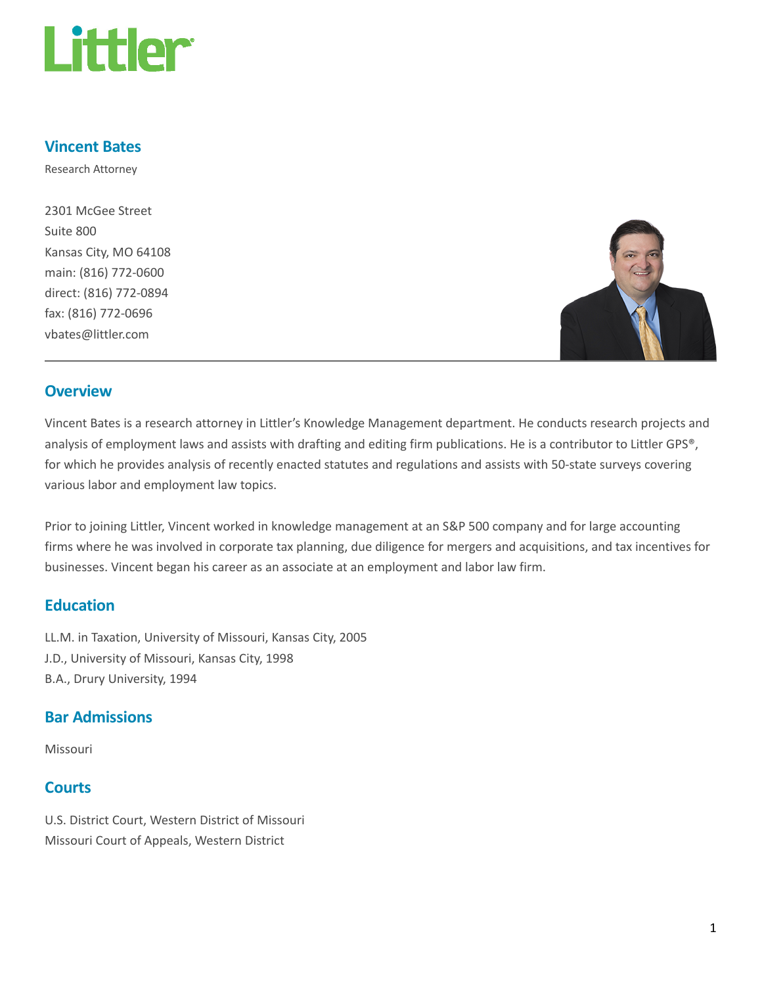

#### Vincent Bates

Research Attorney

2301 McGee Street Suite 800 Kansas City, MO 64108 main: (816) 772-0600 direct: (816) 772-0894 fax: (816) 772-0696 vbates@littler.com



#### **Overview**

Vincent Bates is a research attorney in Littler's Knowledge Management department. He conducts research projects and analysis of employment laws and assists with drafting and editing firm publications. He is a contributor to Littler GPS®, for which he provides analysis of recently enacted statutes and regulations and assists with 50-state surveys covering various labor and employment law topics.

Prior to joining Littler, Vincent worked in knowledge management at an S&P 500 company and for large accounting firms where he was involved in corporate tax planning, due diligence for mergers and acquisitions, and tax incentives for businesses. Vincent began his career as an associate at an employment and labor law firm.

### **Education**

LL.M. in Taxation, University of Missouri, Kansas City, 2005 J.D., University of Missouri, Kansas City, 1998 B.A., Drury University, 1994

# Bar Admissions

Missouri

#### **Courts**

U.S. District Court, Western District of Missouri Missouri Court of Appeals, Western District